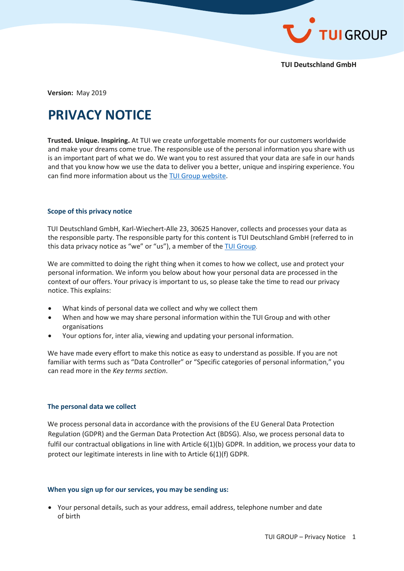

**TUI Deutschland GmbH**

**Version:** May 2019

# **PRIVACY NOTICE**

**Trusted. Unique. Inspiring.** At TUI we create unforgettable moments for our customers worldwide and make your dreams come true. The responsible use of the personal information you share with us is an important part of what we do. We want you to rest assured that your data are safe in our hands and that you know how we use the data to deliver you a better, unique and inspiring experience. You can find more information about us th[e TUI Group website.](https://www.tuigroup.com/en-en)

# **Scope of this privacy notice**

TUI Deutschland GmbH, Karl-Wiechert-Alle 23, 30625 Hanover, collects and processes your data as the responsible party. The responsible party for this content is TUI Deutschland GmbH (referred to in this data privacy notice as "we" or "us"), a member of the [TUI Group](https://www.tuigroup.com/de-de).

We are committed to doing the right thing when it comes to how we collect, use and protect your personal information. We inform you below about how your personal data are processed in the context of our offers. Your privacy is important to us, so please take the time to read our privacy notice. This explains:

- What kinds of personal data we collect and why we collect them
- When and how we may share personal information within the TUI Group and with other organisations
- Your options for, inter alia, viewing and updating your personal information.

We have made every effort to make this notice as easy to understand as possible. If you are not familiar with terms such as "Data Controller" or "Specific categories of personal information," you can read more in the *Key terms section*.

# **The personal data we collect**

We process personal data in accordance with the provisions of the EU General Data Protection Regulation (GDPR) and the German Data Protection Act (BDSG). Also, we process personal data to fulfil our contractual obligations in line with Article 6(1)(b) GDPR. In addition, we process your data to protect our legitimate interests in line with to Article 6(1)(f) GDPR.

# **When you sign up for our services, you may be sending us:**

 Your personal details, such as your address, email address, telephone number and date of birth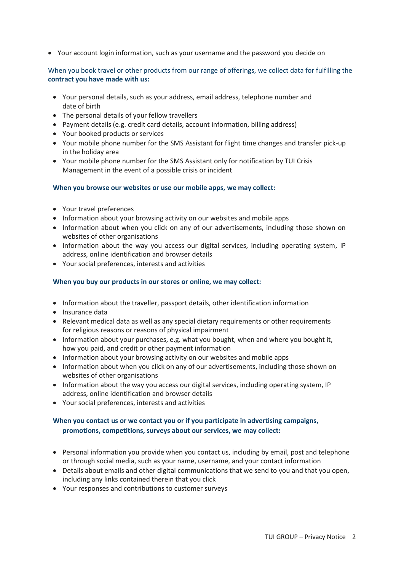Your account login information, such as your username and the password you decide on

# When you book travel or other products from our range of offerings, we collect data for fulfilling the **contract you have made with us:**

- Your personal details, such as your address, email address, telephone number and date of birth
- The personal details of your fellow travellers
- Payment details (e.g. credit card details, account information, billing address)
- Your booked products or services
- Your mobile phone number for the SMS Assistant for flight time changes and transfer pick-up in the holiday area
- Your mobile phone number for the SMS Assistant only for notification by TUI Crisis Management in the event of a possible crisis or incident

## **When you browse our websites or use our mobile apps, we may collect:**

- Your travel preferences
- Information about your browsing activity on our websites and mobile apps
- Information about when you click on any of our advertisements, including those shown on websites of other organisations
- Information about the way you access our digital services, including operating system, IP address, online identification and browser details
- Your social preferences, interests and activities

## **When you buy our products in our stores or online, we may collect:**

- Information about the traveller, passport details, other identification information
- Insurance data
- Relevant medical data as well as any special dietary requirements or other requirements for religious reasons or reasons of physical impairment
- Information about your purchases, e.g. what you bought, when and where you bought it, how you paid, and credit or other payment information
- Information about your browsing activity on our websites and mobile apps
- Information about when you click on any of our advertisements, including those shown on websites of other organisations
- Information about the way you access our digital services, including operating system, IP address, online identification and browser details
- Your social preferences, interests and activities

# **When you contact us or we contact you or if you participate in advertising campaigns, promotions, competitions, surveys about our services, we may collect:**

- Personal information you provide when you contact us, including by email, post and telephone or through social media, such as your name, username, and your contact information
- Details about emails and other digital communications that we send to you and that you open, including any links contained therein that you click
- Your responses and contributions to customer surveys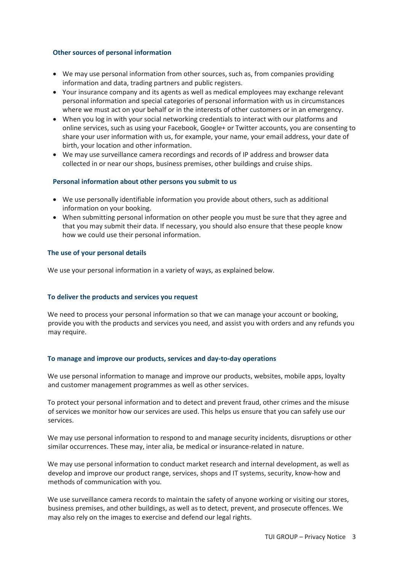## **Other sources of personal information**

- We may use personal information from other sources, such as, from companies providing information and data, trading partners and public registers.
- Your insurance company and its agents as well as medical employees may exchange relevant personal information and special categories of personal information with us in circumstances where we must act on your behalf or in the interests of other customers or in an emergency.
- When you log in with your social networking credentials to interact with our platforms and online services, such as using your Facebook, Google+ or Twitter accounts, you are consenting to share your user information with us, for example, your name, your email address, your date of birth, your location and other information.
- We may use surveillance camera recordings and records of IP address and browser data collected in or near our shops, business premises, other buildings and cruise ships.

## **Personal information about other persons you submit to us**

- We use personally identifiable information you provide about others, such as additional information on your booking.
- When submitting personal information on other people you must be sure that they agree and that you may submit their data. If necessary, you should also ensure that these people know how we could use their personal information.

## **The use of your personal details**

We use your personal information in a variety of ways, as explained below.

# **To deliver the products and services you request**

We need to process your personal information so that we can manage your account or booking, provide you with the products and services you need, and assist you with orders and any refunds you may require.

#### **To manage and improve our products, services and day-to-day operations**

We use personal information to manage and improve our products, websites, mobile apps, loyalty and customer management programmes as well as other services.

To protect your personal information and to detect and prevent fraud, other crimes and the misuse of services we monitor how our services are used. This helps us ensure that you can safely use our services.

We may use personal information to respond to and manage security incidents, disruptions or other similar occurrences. These may, inter alia, be medical or insurance-related in nature.

We may use personal information to conduct market research and internal development, as well as develop and improve our product range, services, shops and IT systems, security, know-how and methods of communication with you.

We use surveillance camera records to maintain the safety of anyone working or visiting our stores, business premises, and other buildings, as well as to detect, prevent, and prosecute offences. We may also rely on the images to exercise and defend our legal rights.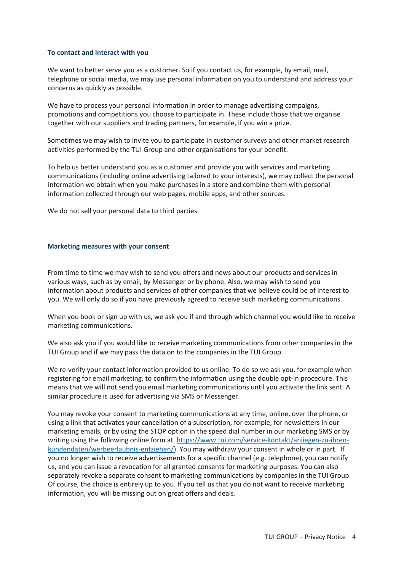## **To contact and interact with you**

We want to better serve you as a customer. So if you contact us, for example, by email, mail, telephone or social media, we may use personal information on you to understand and address your concerns as quickly as possible.

We have to process your personal information in order to manage advertising campaigns, promotions and competitions you choose to participate in. These include those that we organise together with our suppliers and trading partners, for example, if you win a prize.

Sometimes we may wish to invite you to participate in customer surveys and other market research activities performed by the TUI Group and other organisations for your benefit.

To help us better understand you as a customer and provide you with services and marketing communications (including online advertising tailored to your interests), we may collect the personal information we obtain when you make purchases in a store and combine them with personal information collected through our web pages, mobile apps, and other sources.

We do not sell your personal data to third parties.

## **Marketing measures with your consent**

From time to time we may wish to send you offers and news about our products and services in various ways, such as by email, by Messenger or by phone. Also, we may wish to send you information about products and services of other companies that we believe could be of interest to you. We will only do so if you have previously agreed to receive such marketing communications.

When you book or sign up with us, we ask you if and through which channel you would like to receive marketing communications.

We also ask you if you would like to receive marketing communications from other companies in the TUI Group and if we may pass the data on to the companies in the TUI Group.

We re-verify your contact information provided to us online. To do so we ask you, for example when registering for email marketing, to confirm the information using the double opt-in procedure. This means that we will not send you email marketing communications until you activate the link sent. A similar procedure is used for advertising via SMS or Messenger.

You may revoke your consent to marketing communications at any time, online, over the phone, or using a link that activates your cancellation of a subscription, for example, for newsletters in our marketing emails, or by using the STOP option in the speed dial number in our marketing SMS or by writing using the following online form at [https://www.tui.com/service-kontakt/anliegen-zu-ihren](https://www.tui.com/service-kontakt/anliegen-zu-ihren-kundendaten/werbeerlaubnis-entziehen/)[kundendaten/werbeerlaubnis-entziehen/\)](https://www.tui.com/service-kontakt/anliegen-zu-ihren-kundendaten/werbeerlaubnis-entziehen/). You may withdraw your consent in whole or in part. If you no longer wish to receive advertisements for a specific channel (e.g. telephone), you can notify us, and you can issue a revocation for all granted consents for marketing purposes. You can also separately revoke a separate consent to marketing communications by companies in the TUI Group. Of course, the choice is entirely up to you. If you tell us that you do not want to receive marketing information, you will be missing out on great offers and deals.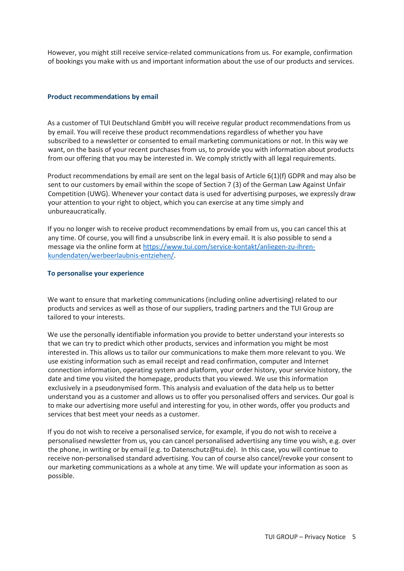However, you might still receive service-related communications from us. For example, confirmation of bookings you make with us and important information about the use of our products and services.

## **Product recommendations by email**

As a customer of TUI Deutschland GmbH you will receive regular product recommendations from us by email. You will receive these product recommendations regardless of whether you have subscribed to a newsletter or consented to email marketing communications or not. In this way we want, on the basis of your recent purchases from us, to provide you with information about products from our offering that you may be interested in. We comply strictly with all legal requirements.

Product recommendations by email are sent on the legal basis of Article 6(1)(f) GDPR and may also be sent to our customers by email within the scope of Section 7 (3) of the German Law Against Unfair Competition (UWG). Whenever your contact data is used for advertising purposes, we expressly draw your attention to your right to object, which you can exercise at any time simply and unbureaucratically.

If you no longer wish to receive product recommendations by email from us, you can cancel this at any time. Of course, you will find a unsubscribe link in every email. It is also possible to send a message via the online form a[t https://www.tui.com/service-kontakt/anliegen-zu-ihren](https://www.tui.com/service-kontakt/anliegen-zu-ihren-kundendaten/werbeerlaubnis-entziehen/)[kundendaten/werbeerlaubnis-entziehen/.](https://www.tui.com/service-kontakt/anliegen-zu-ihren-kundendaten/werbeerlaubnis-entziehen/)

## **To personalise your experience**

We want to ensure that marketing communications (including online advertising) related to our products and services as well as those of our suppliers, trading partners and the TUI Group are tailored to your interests.

We use the personally identifiable information you provide to better understand your interests so that we can try to predict which other products, services and information you might be most interested in. This allows us to tailor our communications to make them more relevant to you. We use existing information such as email receipt and read confirmation, computer and Internet connection information, operating system and platform, your order history, your service history, the date and time you visited the homepage, products that you viewed. We use this information exclusively in a pseudonymised form. This analysis and evaluation of the data help us to better understand you as a customer and allows us to offer you personalised offers and services. Our goal is to make our advertising more useful and interesting for you, in other words, offer you products and services that best meet your needs as a customer.

If you do not wish to receive a personalised service, for example, if you do not wish to receive a personalised newsletter from us, you can cancel personalised advertising any time you wish, e.g. over the phone, in writing or by email (e.g. to Datenschutz@tui.de). In this case, you will continue to receive non-personalised standard advertising. You can of course also cancel/revoke your consent to our marketing communications as a whole at any time. We will update your information as soon as possible.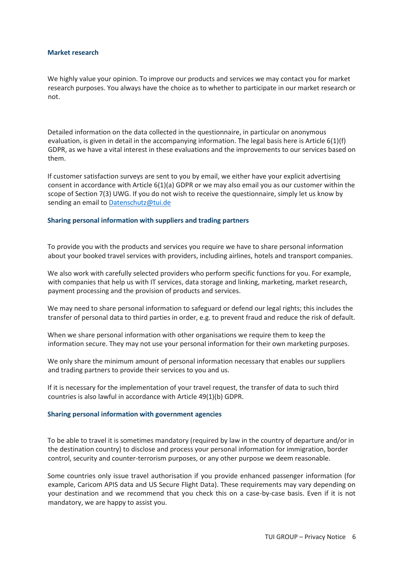#### **Market research**

We highly value your opinion. To improve our products and services we may contact you for market research purposes. You always have the choice as to whether to participate in our market research or not.

Detailed information on the data collected in the questionnaire, in particular on anonymous evaluation, is given in detail in the accompanying information. The legal basis here is Article  $6(1)(f)$ GDPR, as we have a vital interest in these evaluations and the improvements to our services based on them.

If customer satisfaction surveys are sent to you by email, we either have your explicit advertising consent in accordance with Article 6(1)(a) GDPR or we may also email you as our customer within the scope of Section 7(3) UWG. If you do not wish to receive the questionnaire, simply let us know by sending an email t[o Datenschutz@tui.de](mailto:Datenschutz@tui.de)

#### **Sharing personal information with suppliers and trading partners**

To provide you with the products and services you require we have to share personal information about your booked travel services with providers, including airlines, hotels and transport companies.

We also work with carefully selected providers who perform specific functions for you. For example, with companies that help us with IT services, data storage and linking, marketing, market research, payment processing and the provision of products and services.

We may need to share personal information to safeguard or defend our legal rights; this includes the transfer of personal data to third parties in order, e.g. to prevent fraud and reduce the risk of default.

When we share personal information with other organisations we require them to keep the information secure. They may not use your personal information for their own marketing purposes.

We only share the minimum amount of personal information necessary that enables our suppliers and trading partners to provide their services to you and us.

If it is necessary for the implementation of your travel request, the transfer of data to such third countries is also lawful in accordance with Article 49(1)(b) GDPR.

#### **Sharing personal information with government agencies**

To be able to travel it is sometimes mandatory (required by law in the country of departure and/or in the destination country) to disclose and process your personal information for immigration, border control, security and counter-terrorism purposes, or any other purpose we deem reasonable.

Some countries only issue travel authorisation if you provide enhanced passenger information (for example, Caricom APIS data and US Secure Flight Data). These requirements may vary depending on your destination and we recommend that you check this on a case-by-case basis. Even if it is not mandatory, we are happy to assist you.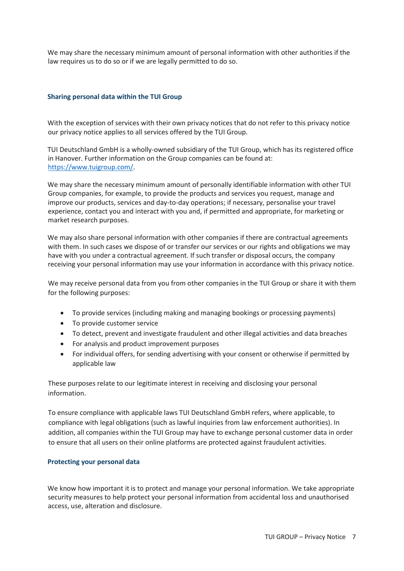We may share the necessary minimum amount of personal information with other authorities if the law requires us to do so or if we are legally permitted to do so.

# **Sharing personal data within the TUI Group**

With the exception of services with their own privacy notices that do not refer to this privacy notice our privacy notice applies to all services offered by the TUI Group.

TUI Deutschland GmbH is a wholly-owned subsidiary of the TUI Group, which has its registered office in Hanover. Further information on the Group companies can be found at: [https://www.tuigroup.com/.](https://www.tuigroup.com/)

We may share the necessary minimum amount of personally identifiable information with other TUI Group companies, for example, to provide the products and services you request, manage and improve our products, services and day-to-day operations; if necessary, personalise your travel experience, contact you and interact with you and, if permitted and appropriate, for marketing or market research purposes.

We may also share personal information with other companies if there are contractual agreements with them. In such cases we dispose of or transfer our services or our rights and obligations we may have with you under a contractual agreement. If such transfer or disposal occurs, the company receiving your personal information may use your information in accordance with this privacy notice.

We may receive personal data from you from other companies in the TUI Group or share it with them for the following purposes:

- To provide services (including making and managing bookings or processing payments)
- To provide customer service
- To detect, prevent and investigate fraudulent and other illegal activities and data breaches
- For analysis and product improvement purposes
- For individual offers, for sending advertising with your consent or otherwise if permitted by applicable law

These purposes relate to our legitimate interest in receiving and disclosing your personal information.

To ensure compliance with applicable laws TUI Deutschland GmbH refers, where applicable, to compliance with legal obligations (such as lawful inquiries from law enforcement authorities). In addition, all companies within the TUI Group may have to exchange personal customer data in order to ensure that all users on their online platforms are protected against fraudulent activities.

# **Protecting your personal data**

We know how important it is to protect and manage your personal information. We take appropriate security measures to help protect your personal information from accidental loss and unauthorised access, use, alteration and disclosure.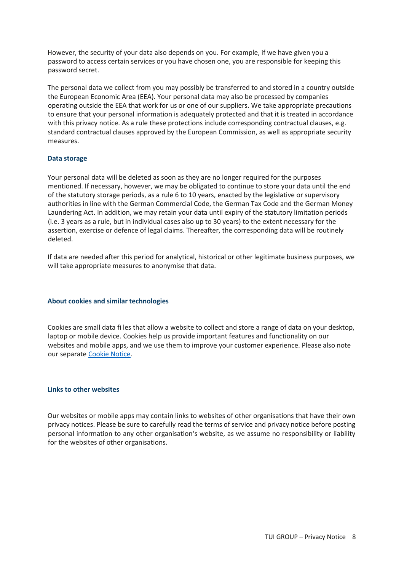However, the security of your data also depends on you. For example, if we have given you a password to access certain services or you have chosen one, you are responsible for keeping this password secret.

The personal data we collect from you may possibly be transferred to and stored in a country outside the European Economic Area (EEA). Your personal data may also be processed by companies operating outside the EEA that work for us or one of our suppliers. We take appropriate precautions to ensure that your personal information is adequately protected and that it is treated in accordance with this privacy notice. As a rule these protections include corresponding contractual clauses, e.g. standard contractual clauses approved by the European Commission, as well as appropriate security measures.

## **Data storage**

Your personal data will be deleted as soon as they are no longer required for the purposes mentioned. If necessary, however, we may be obligated to continue to store your data until the end of the statutory storage periods, as a rule 6 to 10 years, enacted by the legislative or supervisory authorities in line with the German Commercial Code, the German Tax Code and the German Money Laundering Act. In addition, we may retain your data until expiry of the statutory limitation periods (i.e. 3 years as a rule, but in individual cases also up to 30 years) to the extent necessary for the assertion, exercise or defence of legal claims. Thereafter, the corresponding data will be routinely deleted.

If data are needed after this period for analytical, historical or other legitimate business purposes, we will take appropriate measures to anonymise that data.

#### **About cookies and similar technologies**

Cookies are small data fi les that allow a website to collect and store a range of data on your desktop, laptop or mobile device. Cookies help us provide important features and functionality on our websites and mobile apps, and we use them to improve your customer experience. Please also note our separate [Cookie Notice.](https://www.tuicars.com/en/cookie-notice/)

## **Links to other websites**

Our websites or mobile apps may contain links to websites of other organisations that have their own privacy notices. Please be sure to carefully read the terms of service and privacy notice before posting personal information to any other organisation's website, as we assume no responsibility or liability for the websites of other organisations.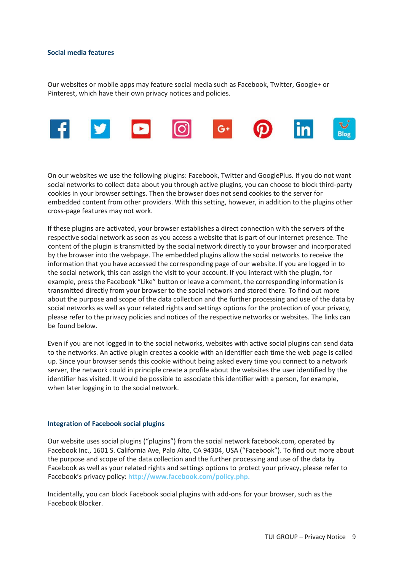#### **Social media features**

Our websites or mobile apps may feature social media such as Facebook, Twitter, Google+ or Pinterest, which have their own privacy notices and policies.



On our websites we use the following plugins: Facebook, Twitter and GooglePlus. If you do not want social networks to collect data about you through active plugins, you can choose to block third-party cookies in your browser settings. Then the browser does not send cookies to the server for embedded content from other providers. With this setting, however, in addition to the plugins other cross-page features may not work.

If these plugins are activated, your browser establishes a direct connection with the servers of the respective social network as soon as you access a website that is part of our internet presence. The content of the plugin is transmitted by the social network directly to your browser and incorporated by the browser into the webpage. The embedded plugins allow the social networks to receive the information that you have accessed the corresponding page of our website. If you are logged in to the social network, this can assign the visit to your account. If you interact with the plugin, for example, press the Facebook "Like" button or leave a comment, the corresponding information is transmitted directly from your browser to the social network and stored there. To find out more about the purpose and scope of the data collection and the further processing and use of the data by social networks as well as your related rights and settings options for the protection of your privacy, please refer to the privacy policies and notices of the respective networks or websites. The links can be found below.

Even if you are not logged in to the social networks, websites with active social plugins can send data to the networks. An active plugin creates a cookie with an identifier each time the web page is called up. Since your browser sends this cookie without being asked every time you connect to a network server, the network could in principle create a profile about the websites the user identified by the identifier has visited. It would be possible to associate this identifier with a person, for example, when later logging in to the social network.

#### **Integration of Facebook social plugins**

Our website uses social plugins ("plugins") from the social network facebook.com, operated by Facebook Inc., 1601 S. California Ave, Palo Alto, CA 94304, USA ("Facebook"). To find out more about the purpose and scope of the data collection and the further processing and use of the data by Facebook as well as your related rights and settings options to protect your privacy, please refer to Facebook's privacy policy: **http://www.facebook.com/policy.php.**

Incidentally, you can block Facebook social plugins with add-ons for your browser, such as the Facebook Blocker.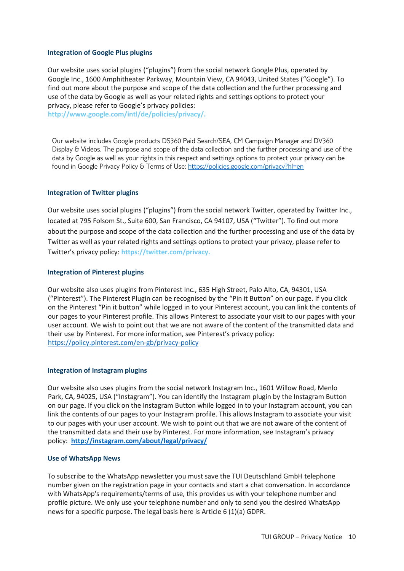# **Integration of Google Plus plugins**

Our website uses social plugins ("plugins") from the social network Google Plus, operated by Google Inc., 1600 Amphitheater Parkway, Mountain View, CA 94043, United States ("Google"). To find out more about the purpose and scope of the data collection and the further processing and use of the data by Google as well as your related rights and settings options to protect your privacy, please refer to Google's privacy policies:

**http://www.google.com/intl/de/policies/privacy/.**

Our website includes Google products DS360 Paid Search/SEA, CM Campaign Manager and DV360 Display & Videos. The purpose and scope of the data collection and the further processing and use of the data by Google as well as your rights in this respect and settings options to protect your privacy can be found in Google Privacy Policy & Terms of Use:<https://policies.google.com/privacy?hl=en>

## **Integration of Twitter plugins**

Our website uses social plugins ("plugins") from the social network Twitter, operated by Twitter Inc., located at 795 Folsom St., Suite 600, San Francisco, CA 94107, USA ("Twitter"). To find out more about the purpose and scope of the data collection and the further processing and use of the data by Twitter as well as your related rights and settings options to protect your privacy, please refer to Twitter's privacy policy: **https://twitter.com/privacy.**

#### **Integration of Pinterest plugins**

Our website also uses plugins from Pinterest Inc., 635 High Street, Palo Alto, CA, 94301, USA ("Pinterest"). The Pinterest Plugin can be recognised by the "Pin it Button" on our page. If you click on the Pinterest "Pin it button" while logged in to your Pinterest account, you can link the contents of our pages to your Pinterest profile. This allows Pinterest to associate your visit to our pages with your user account. We wish to point out that we are not aware of the content of the transmitted data and their use by Pinterest. For more information, see Pinterest's privacy policy: <https://policy.pinterest.com/en-gb/privacy-policy>

#### **Integration of Instagram plugins**

Our website also uses plugins from the social network Instagram Inc., 1601 Willow Road, Menlo Park, CA, 94025, USA ("Instagram"). You can identify the Instagram plugin by the Instagram Button on our page. If you click on the Instagram Button while logged in to your Instagram account, you can link the contents of our pages to your Instagram profile. This allows Instagram to associate your visit to our pages with your user account. We wish to point out that we are not aware of the content of the transmitted data and their use by Pinterest. For more information, see Instagram's privacy policy: **<http://instagram.com/about/legal/privacy/>**

#### **Use of WhatsApp News**

To subscribe to the WhatsApp newsletter you must save the TUI Deutschland GmbH telephone number given on the registration page in your contacts and start a chat conversation. In accordance with WhatsApp's requirements/terms of use, this provides us with your telephone number and profile picture. We only use your telephone number and only to send you the desired WhatsApp news for a specific purpose. The legal basis here is Article 6 (1)(a) GDPR.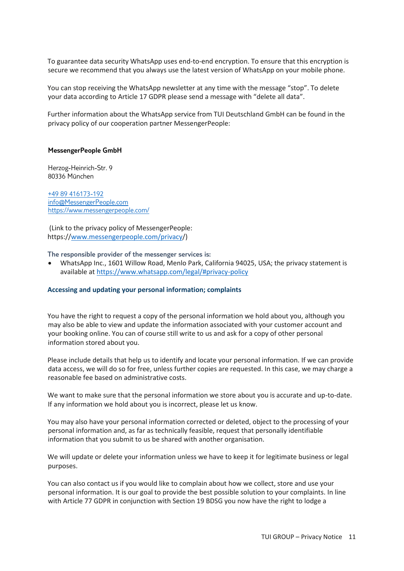To guarantee data security WhatsApp uses end-to-end encryption. To ensure that this encryption is secure we recommend that you always use the latest version of WhatsApp on your mobile phone.

You can stop receiving the WhatsApp newsletter at any time with the message "stop". To delete your data according to Article 17 GDPR please send a message with "delete all data".

Further information about the WhatsApp service from TUI Deutschland GmbH can be found in the privacy policy of our cooperation partner MessengerPeople:

#### **MessengerPeople GmbH**

Herzog-Heinrich-Str. 9 80336 München

[+49 89 416173-192](tel:+4989416173192) [info@MessengerPeople.com](mailto:info@MessengerPeople.com) <https://www.messengerpeople.com/>

(Link to the privacy policy of MessengerPeople: https:/[/www.messengerpeople.com/privacy/](https://www.messengerpeople.com/privacy))

**The responsible provider of the messenger services is:**

 WhatsApp Inc., 1601 Willow Road, Menlo Park, California 94025, USA; the privacy statement is available at<https://www.whatsapp.com/legal/#privacy-policy>

#### **Accessing and updating your personal information; complaints**

You have the right to request a copy of the personal information we hold about you, although you may also be able to view and update the information associated with your customer account and your booking online. You can of course still write to us and ask for a copy of other personal information stored about you.

Please include details that help us to identify and locate your personal information. If we can provide data access, we will do so for free, unless further copies are requested. In this case, we may charge a reasonable fee based on administrative costs.

We want to make sure that the personal information we store about you is accurate and up-to-date. If any information we hold about you is incorrect, please let us know.

You may also have your personal information corrected or deleted, object to the processing of your personal information and, as far as technically feasible, request that personally identifiable information that you submit to us be shared with another organisation.

We will update or delete your information unless we have to keep it for legitimate business or legal purposes.

You can also contact us if you would like to complain about how we collect, store and use your personal information. It is our goal to provide the best possible solution to your complaints. In line with Article 77 GDPR in conjunction with Section 19 BDSG you now have the right to lodge a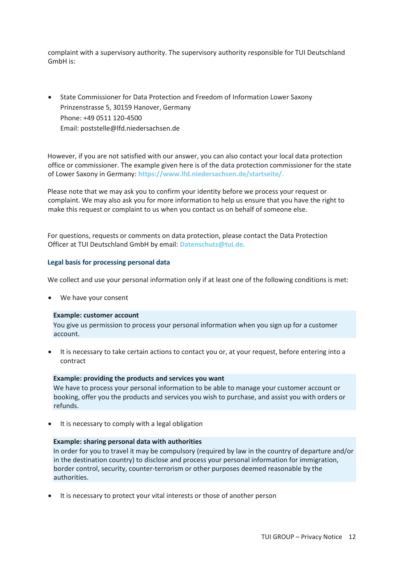complaint with a supervisory authority. The supervisory authority responsible for TUI Deutschland GmbH is:

 State Commissioner for Data Protection and Freedom of Information Lower Saxony Prinzenstrasse 5, 30159 Hanover, Germany Phone: +49 0511 120-4500 Email: poststelle@lfd.niedersachsen.de

However, if you are not satisfied with our answer, you can also contact your local data protection office or commissioner. The example given here is of the data protection commissioner for the state of Lower Saxony in Germany: **https://www.lfd.niedersachsen.de/startseite/.**

Please note that we may ask you to confirm your identity before we process your request or complaint. We may also ask you for more information to help us ensure that you have the right to make this request or complaint to us when you contact us on behalf of someone else.

For questions, requests or comments on data protection, please contact the Data Protection Officer at TUI Deutschland GmbH by email: **Datenschutz@tui.de.**

## **Legal basis for processing personal data**

We collect and use your personal information only if at least one of the following conditions is met:

We have your consent

#### **Example: customer account**

You give us permission to process your personal information when you sign up for a customer account.

 It is necessary to take certain actions to contact you or, at your request, before entering into a contract

#### **Example: providing the products and services you want**

We have to process your personal information to be able to manage your customer account or booking, offer you the products and services you wish to purchase, and assist you with orders or refunds.

It is necessary to comply with a legal obligation

## **Example: sharing personal data with authorities**

In order for you to travel it may be compulsory (required by law in the country of departure and/or in the destination country) to disclose and process your personal information for immigration, border control, security, counter-terrorism or other purposes deemed reasonable by the authorities.

It is necessary to protect your vital interests or those of another person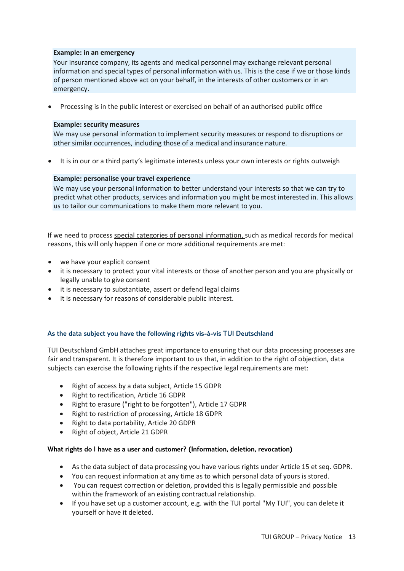# **Example: in an emergency**

Your insurance company, its agents and medical personnel may exchange relevant personal information and special types of personal information with us. This is the case if we or those kinds of person mentioned above act on your behalf, in the interests of other customers or in an emergency.

Processing is in the public interest or exercised on behalf of an authorised public office

## **Example: security measures**

We may use personal information to implement security measures or respond to disruptions or other similar occurrences, including those of a medical and insurance nature.

• It is in our or a third party's legitimate interests unless your own interests or rights outweigh

# **Example: personalise your travel experience**

We may use your personal information to better understand your interests so that we can try to predict what other products, services and information you might be most interested in. This allows us to tailor our communications to make them more relevant to you.

If we need to process special categories of personal information, such as medical records for medical reasons, this will only happen if one or more additional requirements are met:

- we have your explicit consent
- it is necessary to protect your vital interests or those of another person and you are physically or legally unable to give consent
- it is necessary to substantiate, assert or defend legal claims
- it is necessary for reasons of considerable public interest.

# **As the data subject you have the following rights vis-à-vis TUI Deutschland**

TUI Deutschland GmbH attaches great importance to ensuring that our data processing processes are fair and transparent. It is therefore important to us that, in addition to the right of objection, data subjects can exercise the following rights if the respective legal requirements are met:

- Right of access by a data subject, Article 15 GDPR
- Right to rectification, Article 16 GDPR
- Right to erasure ("right to be forgotten"), Article 17 GDPR
- Right to restriction of processing, Article 18 GDPR
- Right to data portability, Article 20 GDPR
- Right of object, Article 21 GDPR

# **What rights do I have as a user and customer? (Information, deletion, revocation)**

- As the data subject of data processing you have various rights under Article 15 et seq. GDPR.
- You can request information at any time as to which personal data of yours is stored.
- You can request correction or deletion, provided this is legally permissible and possible within the framework of an existing contractual relationship.
- If you have set up a customer account, e.g. with the TUI portal "My TUI", you can delete it yourself or have it deleted.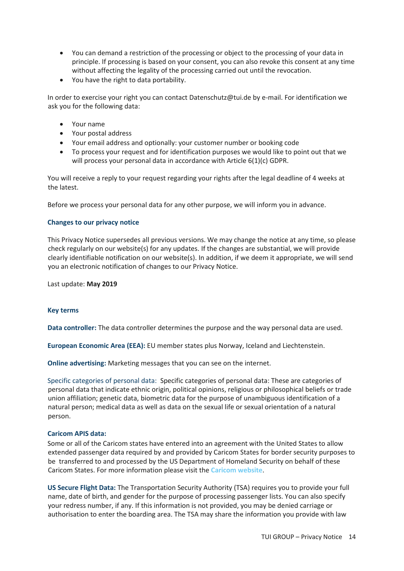- You can demand a restriction of the processing or object to the processing of your data in principle. If processing is based on your consent, you can also revoke this consent at any time without affecting the legality of the processing carried out until the revocation.
- You have the right to data portability.

In order to exercise your right you can contact Datenschutz@tui.de by e-mail. For identification we ask you for the following data:

- Your name
- Your postal address
- Your email address and optionally: your customer number or booking code
- To process your request and for identification purposes we would like to point out that we will process your personal data in accordance with Article 6(1)(c) GDPR.

You will receive a reply to your request regarding your rights after the legal deadline of 4 weeks at the latest.

Before we process your personal data for any other purpose, we will inform you in advance.

## **Changes to our privacy notice**

This Privacy Notice supersedes all previous versions. We may change the notice at any time, so please check regularly on our website(s) for any updates. If the changes are substantial, we will provide clearly identifiable notification on our website(s). In addition, if we deem it appropriate, we will send you an electronic notification of changes to our Privacy Notice.

Last update: **May 2019**

#### **Key terms**

**Data controller:** The data controller determines the purpose and the way personal data are used.

**European Economic Area (EEA):** EU member states plus Norway, Iceland and Liechtenstein.

**Online advertising:** Marketing messages that you can see on the internet.

Specific categories of personal data: Specific categories of personal data: These are categories of personal data that indicate ethnic origin, political opinions, religious or philosophical beliefs or trade union affiliation; genetic data, biometric data for the purpose of unambiguous identification of a natural person; medical data as well as data on the sexual life or sexual orientation of a natural person.

# **Caricom APIS data:**

Some or all of the Caricom states have entered into an agreement with the United States to allow extended passenger data required by and provided by Caricom States for border security purposes to be transferred to and processed by the US Department of Homeland Security on behalf of these Caricom States. For more information please visit the **Caricom website**.

**US Secure Flight Data:** The Transportation Security Authority (TSA) requires you to provide your full name, date of birth, and gender for the purpose of processing passenger lists. You can also specify your redress number, if any. If this information is not provided, you may be denied carriage or authorisation to enter the boarding area. The TSA may share the information you provide with law